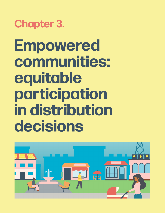**Chapter 3.**

**Empowered communities: equitable participation in distribution decisions**

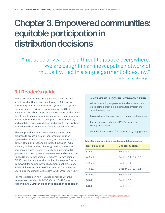# Chapter 3. Empowered communities: equitable participation in distribution decisions

"Injustice anywhere is a threat to justice everywhere. We are caught in an inescapable network of mutuality, tied in a single garment of destiny."

— Dr. Martin Luther King, Jr

# **3.1 Reader's guide**

PGE's Distribution System Plan (DSP) takes the first step toward outlining and developing a 21st century community-centered distribution system. This system primarily uses distributed energy resources (DERs) to accelerate decarbonization and electrification and provide direct benefits to communities, especially environmental justice communities.<sup>49</sup> It's designed to improve safety and reliability, ensure resilience and security and apply an equity lens when considering fair and reasonable costs.

This chapter describes the activities planned or in progress to create a human-centered distribution system that provides safe, secure, reliable and resilient power, at fair and reasonable rates. It includes PGE's evolving understanding of energy justice, where the company is on its Diversity, Equity and Inclusion (DEI) journey, and the approach taken to meet and exceed the Public Utility Commission of Oregon's (Commission or OPUC) requirements for this docket. It also puts forth a framework for community engagement best practices. Table 13 illustrates how PGE has met the Commission's DSP guidelines under Docket UM 2005, Order 20-485.50

For more details on how PGE has complied with the requirements under UM 2005, Order 20-485, see Appendix A: DSP plan guidelines compliance checklist.

#### **WHAT WE WILL COVER IN THIS CHAPTER**

Why community engagement and empowerment is critical to achieving a distribution system that benefits everyone

An overview of human-centered design and planning

The key characteristics of PGE's Community Engagement Plan

What PGE has learned from community engagement

| <b>DSP</b> guidelines | <b>Chapter section</b> |
|-----------------------|------------------------|
| 4.3.a.i               | Section 3.2            |
| 4.3.a.ii              | Section 3.2, 3.4, 3.5  |
| $4.3.a.$ iii          | Section 3.2, 3.3       |
| 4.4 h.v               | Section 3.3, 3.4, 3.5  |
| $4.5a-c$              | Section 3.5            |
| 5.3.d                 | Section 3.3            |
| $5.3.d.i-vi$          | Section 3.4            |

#### Table 13. Empowered communities: guideline mapping

49. PGE uses the definition of environmental justice communities under Oregon House Bill 2021, available at: [oregonlegislature.gov.](https://olis.oregonlegislature.gov/liz/2021R1/Measures/Overview/HB2021) 50. OPUC UM 2005, Order 20-485 was issued on December 23, 2020, and is available at: [apps.puc.state.or.us](https://apps.puc.state.or.us/orders/2020ords/20-485.pdf).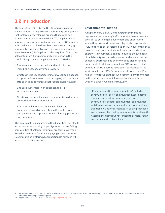# <span id="page-2-0"></span>**3.2 Introduction**

Through Order 20-485, the OPUC required investorowned utilities (IOUs) to ensure community engagement that fostered a "developing process that supports a human-centered approach to DSP." To help foster and support a human-centered approach, the OPUC requires IOUs to develop a plan describing how they will engage community representatives in the development of nonwires solutions (NWS) pilots. It also requires IOUs to host at least four pre-filing community workshops in their DSP.<sup>51</sup> The quidelines help IOUs create a DSP that:

- Empowers all customers with authentic choices, including access to diverse providers
- Creates inclusive, nondiscriminatory, equitable access to opportunities across customer types, with particular attention to opportunities that reduce energy burden
- Engages customers in an approachable, fully accessible manner
- Creates procedural inclusion for new stakeholders who are traditionally not represented
- Promotes collaboration between utilities and community-based organizations (CBOs) to broaden perspectives and representation in planning processes and outcomes

The goal is not to just eliminate the disparities, but also to increase success for all groups. Systems that are failing communities of color, for example, are failing everyone. Providing solutions for all while paying special attention to communities suffering disproportionate burdens will increase collective success.

#### **Environmental justice**

As a pillar of PGE's DSP, empowered communities represents the company's efforts as an essential service provider to both engage customers and understand where they live, work, learn and play. It also represents PGE's efforts to co-develop solutions with customers that provide direct community benefits and access to clean energy. It is incumbent upon us to pursue the twin goals of racial equity and decarbonization and ensure that our company addresses and acknowledges disparities and impacts within all the communities PGE serves. Not all communities PGE serves have been represented in the work done to date. PGE's Community Engagement Plan has a strong focus on those who comprise environmental justice communities, which was defined recently in Oregon's 2021 House Bill (HB) 2021.52

"Environmental justice communities" includes communities of color, communities experiencing lower incomes, tribal communities, rural communities, coastal communities, communities with limited infrastructure and other communities traditionally underrepresented in public processes and adversely harmed by environmental and health hazards, including but not limited to seniors, youth and persons with disabilities.

<sup>51.</sup> This requirement is split into two parts to follow the initial plan filing: two stakeholder workshops preceding Part 1 of the initial DSP filing, and two additional workshops preceding Part 2.

<sup>52.</sup> Oregon House Bill 2021 is available at: [oregonlegislature.gov](https://olis.oregonlegislature.gov/liz/2021R1/Measures/Overview/HB2021)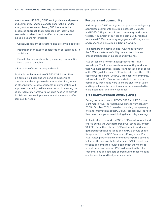In response to HB 2021, OPUC staff guidance and partner and community feedback, and to ensure the intended equity outcomes are achieved, PGE has adopted an integrated approach that embraces both internal and external considerations. Identified equity outcomes include, but are not limited to:

- Acknowledgement of structural and systemic inequities
- Integration of an explicit consideration of racial equity in decisions
- Pursuit of procedural equity by ensuring communities have a seat at the table
- Promotion of transparency and candor

Equitable implementation of PGE's DSP Action Plan is a critical next step and will serve to support and complement the empowered communities pillar, as well as other pillars. Notably, equitable implementation will improve community resilience and assist in evolving the utility regulatory framework, which is needed to provide flexibility in co-developed solutions that meet identified community needs.

#### **Partners and community**

PGE supports OPUC staff goals and principles and greatly appreciates comments provided in Docket UM 2005 and PGE's DSP partnership and community workshops to date. A summary of partner and community feedback relative to PGE's community engagement efforts, actions and responses is provided in [Section 3.4.3.1](#page-14-0).

The partners and communities PGE engages within the DSP vary in terms of utility-related technical and procedural background, access and influence.

PGE established two distinct approaches to its DSP workshops. The first approach was a monthly workshop that was more technical in nature and focused on aspects of the DSP guidelines and PGE's efforts to meet them. The second was to partner with CBOs to host two communityled workshops. PGE's approaches to both partner and community workshops were to ensure diversity of voice and to provide context and translation where needed to elicit meaningful and timely feedback.

#### **3.2.1 PARTNERSHIP WORKSHOPS**

During the development of PGE's DSP Part 1, PGE hosted eight monthly DSP partnership workshops from January 2021 to October 2021, focused on providing transparency into and information about PGE's DSP processes. [Figure 13](#page-4-0) illustrates the topics shared during the monthly meetings.

A plan to share the work on PGE's DSP was developed and shared during the DSP partnership workshop on January 10, 2021. From there, future DSP partnership workshops gathered feedback and ideas on how PGE should shape its approach to the DSP Community Engagement Plan. PGE invited partners and communities to participate and influence this approach. Feedback led PGE to develop a website and email to provide people with the means to provide input and support PGE in developing the plan. Presentations and datasets shared during these meeting can be found at portlandgeneral.com/dsp.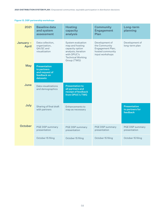<span id="page-4-0"></span>Figure 13. DSP partnership workshops

| 2021                     | <b>Baseline data</b><br>and system<br>assessment                                | <b>Hosting</b><br>capacity<br>analysis                                                                                                   | <b>Community</b><br><b>Engagement</b><br>Plan                                              | Long-term<br>planning                              |
|--------------------------|---------------------------------------------------------------------------------|------------------------------------------------------------------------------------------------------------------------------------------|--------------------------------------------------------------------------------------------|----------------------------------------------------|
| January-<br><b>April</b> | Data collection,<br>organization,<br>QA/QC and<br>visualization                 | System evaluation<br>map and hosting<br>capacity option<br>analysis; iteration<br>with OPUC's<br><b>Technical Working</b><br>Group (TWG) | Development of<br>the Community<br>Engagement Plan;<br>hosted community<br>input workshops | Development of<br>long-term plan                   |
| <b>May</b>               | <b>Presentation</b><br>to partners<br>and request of<br>feedback on<br>datasets |                                                                                                                                          |                                                                                            |                                                    |
| June                     | Data visualizations<br>and demographics                                         | <b>Presentation to</b><br>all partners and<br>receipt of feedback<br>from OPUC's TWG                                                     |                                                                                            |                                                    |
| July                     | Sharing of final draft<br>with partners                                         | Enhancements to<br>map as necessary                                                                                                      |                                                                                            | <b>Presentation</b><br>to partners for<br>feedback |
| <b>October</b>           | PGE DSP summary<br>presentation                                                 | PGE DSP summary<br>presentation                                                                                                          | PGE DSP summary<br>presentation                                                            | PGE DSP summary<br>presentation                    |
|                          | October 15 filing                                                               | October 15 filing                                                                                                                        | October 15 filing                                                                          | October 15 filing                                  |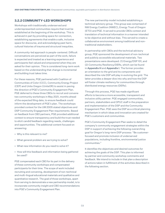# **3.2.2 COMMUNITY-LED WORKSHOPS**

Workshops with traditionally underserved and underrepresented communities require that trust be established at the beginning of the workshop. This is achieved in part by providing space for connection, establishing agreements that enable a safe, inclusive space for discourse, and acknowledging past harm, cultural histories of trauma and structural inequities.

A community-led approach is people-centered. Difficult conversations are perceived as part of the work, failure is expected and treated as a learning experience and participants feel valued and empowered when they are asked for their opinion. This is considered long-term work based on the understanding that change is incremental and building trust takes time.

For these reasons, PGE partnered with Coalition of Communities of Color (CCC), Community Energy Project (CEP) and Unite Oregon (UniteOR) to assist in paving the direction of PGE's Community Engagement Plan. PGE deferred to these three CBOs to recruit and convene two community workshops in May 2021, months ahead of the expected filing date, to ensure feedback could inform the development of PGE's plan. The workshops provided context for the UM 2005 stated objectives and DSP Community Engagement Plan requirements. Based on feedback from CBO partners, PGE provided additional context to ensure transparency and build the trust needed to elicit candid feedback regarding needs, challenges and opportunities. The additional content focused on answering:

- Why is this relevant to me?
- What general problem are we trying to solve?
- What new information do you need to solve it?
- How will this feedback and information being gathered be used?

PGE compensated each CBO for its part in the delivery of these community workshops and compensated participants for their time. The scope of work included recruiting and convening, development of non-technical and multi-lingual educational materials and qualitative and quantitative research. The goal of those workshops, apart from serving to demonstrate a new partnership model, is to incorporate community insight and CBO recommendations into PGE's Community Engagement Plan.

The new partnership model included establishing a technical advisory group. This group was comprised of NW Energy Coalition (NWEC), Energy Trust of Oregon (ETO) and PGE. It served to provide CBOs context and translation of technical information in a manner intended to be objective and without bias. This served to create a collaborative environment among traditional and nontraditional stakeholders.

In partnership with CBOs and the technical advisory group, PGE sponsored the development of non-technical and publicly accessible educational materials. Two presentations were developed: (1) Energy/DSP 101, and (2) Community Resiliency/DERs, which can be found in Appendix H and Appendix I. The former provides an orientation to the grid and its components and described the role DSP will play in evolving the grid. The latter provides a deeper dive into why and how the DSP will foster climate resiliency for communities through distributed energy resources (DERs).

Through this process, PGE has made significant efforts to become a more accessible, transparent and inclusive utility partner. PGE engaged communities, partners, stakeholders and OPUC staff in the preparation and implementation of the DSP and the Community Engagement Plan. PGE sees the DSP as a critical planning mechanism in which ideas and innovation are created for PGE's customers and communities.

PGE's Community Engagement Plan seeks to detail the company's community engagement strategies within the DSP in support of achieving the following overarching goal for Oregon's long-term DSP process: "Be customerfocused and promote inclusion of underserved populations, including frontline, environmental justice communities."

It identifies the objectives and desired outcomes for achieving the goals of the DSP. This plan is informed by partner and community workshop comments and feedback. We intend to include in that plan a description of actions taken in fulfillment of the activities described in the following section.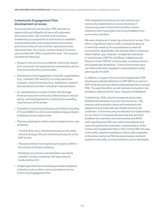#### **Community Engagement Plan development process**

As an essential service provider, PGE has both an opportunity and obligation to serve all customers and communities. We could be more inclusive, broadening our perspective of community to establish trusted relationship with marginalized communities and communities of color and the organizations that represent them. As a result, we have chosen to pursue partnerships with CBOs to guide this work. This process included the following:

- Research into services provided by community-based and community-led organizations representing various environmental justice communities
- Identification and engagement of specific organizations (e.g., UniteOR, CEP and CCC) to understand their missions, scope of services (e.g., facilitation, research and education) and their constituent representation
- Co-development of scopes of work that leverage those services and community relationships to lead an equity-centered approach to meeting and exceeding requirements of the docket
- Formation of a technical advisory committee (including ETO and NWEC) to inform and validate energy industry workshop context without bias
- Planning meetings to refine content ahead of a two-day workshop
	- The first three-hour workshop focused on the utility industry (Energy 101) and oriented participants to the DSP docket
	- The second three-hour workshop focused on DER in the context of climate resiliency
	- Workshop recruitment and facilitation was led by UniteOR, content created by CEP and research conducted by CCC
- Insights gleaned from workshop participant feedback collection tools to inform recommendations for the Community Engagement Plan

PGE established workshops for both partner and community stakeholders to ensure diversity of voice and provide context and translation where needed to elicit meaningful and timely feedback from community members.

We were intentional in fostering a diversity of voices. This effort is significant; there is still a substantial amount of work that needs to be accomplished to reach all communities. Specifically, this includes Native American tribal; lesbian, gay, bisexual, transgender and queer or questioning (LGBTQ); and Black, Indigenous and People of Color (BIPOC) communities, as well as seniors and people with disabilities. These communities have not historically been engaged or represented in utility planning like the DSP.

In addition, in support of community engagement, PGE developed a website dedicated to DSP efforts as well as a DSP email account that allows interested parties to contact PGE. Through this effort, we will maintain momentum and provide an opportunity for input, inquires and feedback.

To build trust, PGE must be transparent about what feedback the company may and may not act on. This requires communication about grid constraints and obligations to provide safe and reliable service to all customers. If comments are provided but not implemented, it is our intent to transparently describe why and elicit feedback from partners and communities and OPUC staff regarding how PGE may collectively address and overcome perceived constraints. Implementation of the Community Engagement Plan in Part 2 of the DSP will pose community-centered questions to inform pilot proposals, in the same manner as PGE has posed equity-centered questions internally, to ensure solutions are co-developed.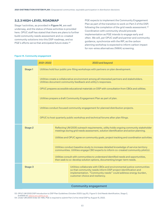#### **3.2.3 HIGH-LEVEL ROADMAP**

Stage 1 activities, as provided in Figure 14, are well underway, and the status of these activities is provided here. OPUC staff has stated that there are plans to further build community needs assessment and co-created community solutions into this DSP roadmap, and so PGE's efforts serve that anticipated future state.<sup>53</sup>

PGE expects to implement the Community Engagement Plan as part of the transition to work on Part 2 of the DSP, following the completion of the grid needs assessment.<sup>54</sup> Coordination with community should precede implementation as PGE intends to engage early and often. We will, per OPUC staff and partner and community guidance, synchronize with the IRP, as the carbon planning workshop is expected to inform carbon impact for non-wires alternatives (NWA) screening.

#### Figure 14. Community engagement

|  |                                                                                 | 2021-2022 |                                                                                                                                                                            | 2023 and beyond                                                                                                                                                                                                                             |  |  |
|--|---------------------------------------------------------------------------------|-----------|----------------------------------------------------------------------------------------------------------------------------------------------------------------------------|---------------------------------------------------------------------------------------------------------------------------------------------------------------------------------------------------------------------------------------------|--|--|
|  | Stage 1                                                                         |           |                                                                                                                                                                            | Utilities hold four public pre-filing workshops with partners on plan development.                                                                                                                                                          |  |  |
|  |                                                                                 |           |                                                                                                                                                                            | Utilities create a collaborative environment among all interested partners and stakeholders.<br>Utilities document community feedback and utility's responses.                                                                              |  |  |
|  |                                                                                 |           | OPUC prepares accessible educational materials on DSP with consultation from CBOs and utilities.                                                                           |                                                                                                                                                                                                                                             |  |  |
|  |                                                                                 |           |                                                                                                                                                                            | Utilities prepare a draft Community Engagement Plan as part of plan.                                                                                                                                                                        |  |  |
|  |                                                                                 |           |                                                                                                                                                                            | Utilities conduct focused community engagement for planned distribution projects.                                                                                                                                                           |  |  |
|  | OPUC to host quarterly public workshop and technical forums after plan filings. |           |                                                                                                                                                                            |                                                                                                                                                                                                                                             |  |  |
|  | <b>Stage 2</b>                                                                  |           |                                                                                                                                                                            | Reflecting UM 2005 outreach requirements, utility holds ongoing community stakeholder<br>meetings during grid needs assessment, solution identification and action planning.                                                                |  |  |
|  |                                                                                 |           | Utilities and OPUC agree on community goals, project tracking and coordination activities.                                                                                 |                                                                                                                                                                                                                                             |  |  |
|  |                                                                                 |           | Utilities conduct baseline study to increase detailed knowledge of service territory<br>communities. Utilities engage CBO experts to inform co-created community pilot(s). |                                                                                                                                                                                                                                             |  |  |
|  |                                                                                 |           | Utilities consult with communities to understand identified needs and opportunities,<br>then seek to co-develop solution options, documenting longer-term needs.           |                                                                                                                                                                                                                                             |  |  |
|  | Stage 3                                                                         |           |                                                                                                                                                                            | Utilities collaborate with CBOs and environmental justice communities<br>so that community needs inform DSP project identification and<br>implementation. "Community needs" could address energy burden,<br>customer choice and resiliency. |  |  |
|  |                                                                                 |           |                                                                                                                                                                            | <b>Community engagement</b>                                                                                                                                                                                                                 |  |  |

53. OPUC UM 2005 DSP Introduction to DSP Plan Guidelines (October 2020) (pg.15), Figure 5: Grid Needs Identification, Stage 2, available at: edocs.puc.stat

54. Under UM 2005 Order 20-485, PGE is required to submit Part 2 of its initial DSP by August 15, 2022.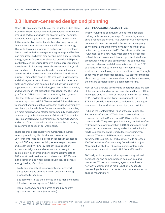# <span id="page-8-0"></span>**3.3 Human-centered design and planning**

When PGE envisions the future of the industry and its place in society, we are inspired by the clean energy transformation emerging today, along with the environmental benefits, economic advantages and job opportunities that come with it. We see a flexible, resilient and reliable two-way power grid that lets customers choose when and how to use energy. This will allow our customers to partner with us to balance demand with emissions-free generating, storage and flexible load resources in a better, smarter and more climate-friendly energy system. As an essential service provider, PGE plays a critical role in delivering Oregon's clean energy transition equitably to all. Electricity powers how customers live, work, learn and play: PGE must continue to transform the energy system in an inclusive manner that addresses historic — and current — disparities head on. We embrace this imperative and the long-term commitment it requires. It's important that PGE's empowered communities initiative is inclusive of engagement with all stakeholders, partners and communities, and we will make that distinction throughout the DSP. Our goal for the DSP is to create a Community Engagement Plan that fosters a process that supports a humancentered approach to DSP. To ensure the DSP establishes a transparent and fluid public process that engages community members, particularly those from underserved communities, in a more robust way, we started our community engagement process early in the development of the DSP. This enabled PGE, in partnership with communities, partners, the OPUC and other IOUs, to have discussions about the structure, frequency and scope of our workshops.

There are three core energy or environmental justice tenets: procedural, distributive and restorative. Environmental justice is a broader concept that extends beyond PGE's sphere of activity as an energy company and electric utility. "Energy justice" is a subset of environmental justice and refers more narrowly to the public policy, economic and environmental impacts of PGE's work on those it serves. It also covers PGE's role in the communities where it does business. To achieve energy justice, it's critical to:

- Fairly and competently incorporate marginalized perspectives and communities in decision-making processes (procedural)
- Equitably distribute the benefits and burdens of energy infrastructure and systems (distributive)
- Repair past and ongoing harms caused by energy systems and decisions (restorative)

#### **3.3.1 PROCEDURAL JUSTICE**

Today, PGE brings community voices to the decisionmaking table in a variety of ways. For example, at semiannual roundtable forums, PGE works through operational issues and other concerns with the low-income agency service providers and community action agencies that deliver energy assistance to PGE's customers. Also, as PGE embarks on a new multi-year planning process for its flexible load resources, it has an opportunity to foster procedural inclusion and partner with the communities it serves to develop and deliver equitable and local DER solutions. We strive to hear voices from community leaders while developing the leaders of tomorrow. Through conservation programs for schools, PGE teaches students about energy-related issues and career paths, encouraging their future participation in a clean energy future.

Most of PGE's service territory and generation sites are part of Tribes' ceded and usual and accustomed lands. PGE is working to develop a tribal partnership, which will be guided by PGE's draft Strategic Tribal Engagement Plan (STEP). STEP will provide a framework to understand the unique aspects of tribal worldviews, sovereignty and policies.

PGE and the Confederated Tribes of the Warm Springs Reservation of Oregon (CTWS) have co-owned and comanaged the Pelton Round Butte (PRB) project for more than a decade. The project provides enough emissions-free hydropower to power more than 150,000 homes and funds projects to improve water quality and enhance habitat for fish throughout the entire Deschutes River Basin. Very recently, CTWS and PGE renewed a power purchase agreement through 2040 in which PGE would purchase 100% of emissions-free electricity from the PRB project. More significantly, the Tribe announced its intention to increase its ownership share in PRB from 33% to 49%.

To "fairly and competently incorporate marginalized perspectives and communities in decision-making processes,"55 we must now engage communities in new ways. Communities require not only access to proceedings, but also the context and compensation to engage meaningfully.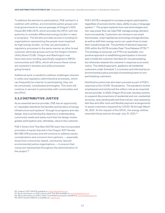To address the barriers to participation, PGE worked in a coalition with utilities, environmental justice groups and local governments to secure passage of Oregon's 2021 House Bill (HB) 2475, which provides the OPUC with the authority to consider differential energy burden in rates or programs. The bill also provides access to funding for organizations representing the people most impacted by high energy burden, so they can participate in regulatory processes in the same manner as other broad customer advocate groups such as the Oregon Citizens' Utility Board (CUB). Oregon and Washington now have intervenor funding specifically targeted to BIPOC communities and CBOs, which will ensure these voices are centered in dockets and utility processes going forward.

Additional work is needed to address challenges inherent in utility and regulatory administrative processes, which can frequently be a barrier to participating; they can be convoluted, complicated and lengthy. This work will continue in earnest in partnership with communities and the OPUC.

#### **3.3.2 DISTRIBUTIVE JUSTICE**

As an essential service provider, PGE has an opportunity to "equitably distribute the benefits and burdens of energy infrastructure and systems"through its programs and rate design. Key to achieving this objective is understanding community needs and wants such that the design invites greater participation and, ultimately, value to the customer.

PGE's Smart Grid Test Bed (SGTB) team has incorporated principles of equity learned in the Oregon 2017 Senate Bill (SB) 978 process and will continue to address equity considerations and concerns from partners — especially those from community-based, community-led and environmental justice organizations — to ensure their voices are represented throughout the administration of the project.<sup>56</sup>

PGE's SGTB is designed to increase program participation, regardless of socioeconomic class, ability to pay or language spoken.57 The project explores how new technologies and two-way power flow can help PGE manage energy demand more successfully. Customers can choose to use smart thermostats, smart appliances and energy storage devices, as well as shift their energy use to non-peak times to lower their overall energy bill. The portfolio of demand response (DR) within the SGTB includes Peak Time Rebates (PTR).58 The strategy of using opt-out PTR is an equitable, nonpunitive approach to establishing participation in the test bed; it holds the customer harmless for not participating, but otherwise rewards the customer's response to an event notice. This default approach, applied to all residential customers under Schedule 7, is inclusive and informed by an environmental justice principle of preventing harm to nonparticipating customers.

Distributive justice has also been pursued as part of PGE's response to the COVID-19 pandemic. The pandemic further emphasized and reinforced the utility's role as an essential service provider. In 2020, Oregon IOUs took voluntary actions to suspend disconnections of residential and non-residential accounts, stop sending late and final notices, stop assessing late fees and offer more and flexible payment arrangements to assist customers impacted by COVID-19 through March 30, 2021. At the request of the OPUC, the energy utilities extended these actions through July 31, 2021.59

<sup>56.</sup> Oregon's 2017 SB 978 available at: [oregonlegislature.gov.](https://olis.oregonlegislature.gov/liz/2017R1/Measures/Overview/SB978)

<sup>57.</sup> More information on PGE's Smart Grid Test Bed available at: [portlandgeneral.com](https://portlandgeneral.com/about/who-we-are/innovative-energy/smart-grid-test-bed) 58. More information on PGE's Peak Time Rebates program available at: [portlandgeneral.com.](https://portlandgeneral.com/save-money/save-money-home/peak-time-rebates)

<sup>59.</sup> OPUC Docket UM2114 is available at: [oregon.gov](https://www.oregon.gov/puc/utilities/Pages/COVID-19-Impacts.aspx)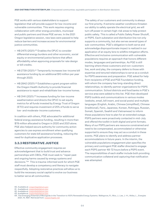PGE works with various stakeholders to support legislation that will provide support for low-income and vulnerable communities. This work requires ongoing collaboration with other energy providers, municipal and public partners and those PGE serves. In the 2021 Oregon legislative session, new laws were passed to help reduce barriers and increase access for environmental justice communities.

- HB 2475 (2021):<sup>60</sup> Enables the OPUC to consider differential energy burdens and other economic, social equity or environmental justice factors that affect affordability when approving proposals for rate design or bill credits.
- HB 2739 (2021):<sup>61</sup> Temporarily increases low-income bill assistance funding by an additional \$10 million per year through 2023.
- HB 2842 (2021):<sup>62</sup> Establishes a grant program within the Oregon Health Authority to provide financial assistance to repair and rehabilitate low-income homes.
- HB 3141 (2021):<sup>63</sup> Increases funding for low-income weatherization and directs the OPUC to set equity metrics for all funds invested by Energy Trust of Oregon (ETO) and requires investment of 25% of funds to serve low- and moderate-income customers.

In coalition with others, PGE advocated for additional federal energy assistance funding, resulting in more than \$78 million allocated to Oregon in 2020 and 2021 alone. PGE also helped secure authority for community action agencies to use express enrollment when qualifying customers for state bill assistance funding, reducing the need for duplicative application processes.

#### **3.3.3 RESTORATIVE JUSTICE**

Effective community engagement requires an acknowledgement that to build trust and advance partnerships with CBOs, PGE must seek to "repair past and ongoing harms caused by energy systems and decisions."64 This is trauma-informed work for which PGE staff must develop a competency and literacy to navigate respectfully. Adopting restorative practices will allow us to build the necessary social capital to evolve our business to better serve all communities.

The safety of our customers and community is always our first priority. If extreme weather conditions threaten our ability to safely operate the electrical grid, we will turn off power in certain high-risk areas to help protect public safety. This is called a Public Safety Power Shutoff, or PSPS. Each substation and distribution line not only supports a community, but also serves several types of sub-communities. PGE's obligation to both serve and acknowledge disproportionate impact is realized in our application of an equity lens to wildfire mitigation efforts. Effective and inclusive communication with vulnerable populations requires an approach that honors different modes, languages and partnerships. As PGE is still learning where these customers and non-customers live, work and play, the company defers to those with expertise and tenured relationships to serve as a conduit for PSPS awareness and preparation. PGE asked for help from recipients of PGE and PGE Foundation funding, with whom the company has long-standing direct relationships, to identify partner organizations for PSPS communication. School districts and food banks in PGE's service area were added to this list. PGE then developed PSPS toolkits and communications in various modes (website, email, bill insert, and social posts) and multiple languages (English, Arabic, Chinese [simplified], Chinese [traditional], Farsi, Japanese, Korean, Rohingya, Russian, Somali, Spanish, Swahili and Vietnamese) to inform these populations how to plan for an extended outage. PSPS partners were proactively contacted in mid-July and offered the toolkit in both digital and print formats. Many of our PSPS partners are resource constrained and need to be compensated, accommodated or otherwise supported to ensure they may act as a conduit in these events. PGE plans to identify and address partner accommodations in future years. In the interim, the vulnerable populations engagement plan specifies the primary and contingent PGE staffer directed to engage each PSPS partner 48-72 hours before a PSPS event. The responsibilities of each staffer include both providing communication collateral and capturing that notification was attempted.

- 61. Available at: [oregonlegislature.gov](https://olis.oregonlegislature.gov/liz/2021R1/Downloads/MeasureDocument/HB2739/Enrolled)
- 62. Available at: [oregonlegislature.gov](https://olis.oregonlegislature.gov/liz/2021R1/Downloads/MeasureDocument/HB2842/Enrolled) 63. Available at: [oregonlegislature.gov](https://olis.oregonlegislature.gov/liz/2021R1/Downloads/MeasureDocument/HB3141/Enrolled)

<sup>60.</sup> Available at: [oregonlegislature.gov](https://olis.oregonlegislature.gov/liz/2021R1/Downloads/MeasureDocument/HB2475/Enrolled)

<sup>64.</sup> The Emerging Potential of Microgrids in the Transition to 100% Renewable Energy Systems. Wallsgrove, R.; Woo, J.; Lee, J.-H.; Akiba, L., Energies 2021, 14, 1687. Retrieved from: [researchgate.net](https://www.researchgate.net/publication/350165950_The_Emerging_Potential_of_Microgrids_in_the_Transition_to_100_Renewable_Energy_Systems)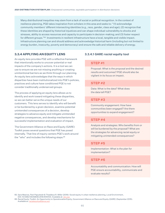Many distributional inequities may stem from a lack of social or political recognition. In the context of resilience planning, PGE takes inspiration from scholars in this area and seeks to: "(1) acknowledge community members' different intersecting identities (e.g., race, gender, class and age); (2) recognize that these identities are shaped by historical injustices and can shape individual vulnerability to shocks and stresses, ability to access resources and capacity to participate in decision-making; and (3) foster respect for different groups."65 Investments in resilient infrastructure have a local, tangible and visible impact. Infrastructure planning can and should address and acknowledge historical harm (including but not limited to energy burden, insecurity, poverty and democracy) and ensure the safe and reliable delivery of energy.

#### **3.3.4 APPLYING AN EQUITY LENS**

An equity lens provides PGE with a reflective framework that intentionally works to uncover potential or real impacts of the company's actions. It is a tool we can use to ensure we are not missing anything or creating unintentional barriers as we think through our planning. An equity lens acknowledges that the ways in which disparities have been institutionalized into PGE's policies, practices and culture have conditioned PGE to not consider traditionally underserved groups.

The process of applying an equity lens allows us to identify and work toward mitigating these disparities, so we can better serve the unique needs of our customers. This lens serves to identify who will benefit or be burdened by a given decision, examine potential unintended consequences of a decision, develop strategies to advance equity and mitigate unintended negative consequences, and develop mechanisms for successful implementation and evaluation of impact.

The Government Alliance on Race and Equity (GARE) Toolkit poses several questions that PGE has posed internally. That line of inquiry centers PGE's work around the "who" and includes the following steps:<sup>66</sup>

#### **3.3.4.1 GARE racial equity tool**

#### **STEP #1**

Proposal: What is the proposal and the desired results and outcomes? PGE should also be vigilant in its focus on impact.

#### **STEP #2**

Data: What is the data? What does the data tell PGE?

#### **STEP #3**

Community engagement: How have communities been engaged? Are there opportunities to expand engagement?

### **STEP #4**

Analysis and strategies: Who benefits from or will be burdened by the proposal? What are the strategies for advancing racial equity or mitigating unintended consequences?

#### **STEP #5**

Implementation: What is the plan for implementation?

#### **STEP #6**

Accountability and communication: How will PGE ensure accountability, communicate and evaluate results?

<sup>65.</sup> Sara Meerow, Pani Pajouhesh & Thaddeus R. Miller (2019): Social equity in urban resilience planning, Local Environment, DOI: 10.1080/13549839.2019.1645103. Available at: [doi.org](https://www.tandfonline.com/doi/full/10.1080/13549839.2019.1645103)

<sup>66.</sup> Racial Equity Toolkit: An Opportunity to Operationalize Equity; Government Alliance on Race and Equity (GARE) (September 2015). Available at: [racialequityalliance.org](https://racialequityalliance.org/wp-content/uploads/2015/10/GARE-Racial_Equity_Toolkit.pdf)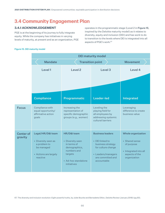# <span id="page-12-0"></span>**3.4 Community Engagement Plan**

# **3.4.1 ACKNOWLEDGEMENT**

PGE is at the beginning of its journey to fully integrate equity. While the company has initiatives in varying levels of maturity, at present and as an organization, PGE operates in the programmatic stage (Level 2 in Figure 15, inspired by the Deloitte maturity model) as it relates to diversity, equity and inclusion (DEI) and has work to do to transition to the levels where DEI is integrated into all aspects of PGE's work.<sup>67</sup>

#### Figure 15. DEI maturity model

 $C<sub>6</sub>$ gr

|                             | <b>DEI maturity model</b>                                                                                   |                                                                                                                                 |                                                                                                                                                 |                                                                                                                      |  |  |  |
|-----------------------------|-------------------------------------------------------------------------------------------------------------|---------------------------------------------------------------------------------------------------------------------------------|-------------------------------------------------------------------------------------------------------------------------------------------------|----------------------------------------------------------------------------------------------------------------------|--|--|--|
|                             | <b>Mandate</b>                                                                                              | <b>Transition point</b>                                                                                                         | <b>Movement</b>                                                                                                                                 |                                                                                                                      |  |  |  |
|                             | Level 1                                                                                                     | Level <sub>2</sub>                                                                                                              | Level <sub>3</sub>                                                                                                                              | Level 4                                                                                                              |  |  |  |
|                             |                                                                                                             |                                                                                                                                 |                                                                                                                                                 |                                                                                                                      |  |  |  |
|                             |                                                                                                             |                                                                                                                                 |                                                                                                                                                 |                                                                                                                      |  |  |  |
|                             | <b>Compliance</b>                                                                                           | Programmatic                                                                                                                    | <b>Leader-led</b>                                                                                                                               | Integrated                                                                                                           |  |  |  |
| <b>Focus</b>                | Compliance with<br>equal opportunity/<br>affirmative action<br>goals                                        | Increasing the<br>representation of<br>specific demographic<br>groups (e.g., women)                                             | Leveling the<br>playing field for<br>all employees by<br>addressing systemic<br>cultural barriers                                               | Leveraging<br>difference to create<br>business value                                                                 |  |  |  |
| <b>Center of</b><br>gravity | Legal/HR/D&I team<br>• Diversity seen as<br>a problem to<br>be managed<br>• Actions are largely<br>reactive | HR/D&I team<br>• Diversity seen<br>in terms of<br>demographics,<br>numbers and<br>targets<br>• Ad-hoc standalone<br>initiatives | <b>Business leaders</b><br>• DEI linked to<br>business strategy<br>for culture change<br>• Leaders/managers<br>are committed and<br>accountable | <b>Whole organization</b><br>• Shared sense<br>of purpose<br>· Integrated into all<br>aspects of the<br>organization |  |  |  |

67. The diversity and inclusion revolution: Eight powerful truths, by Juliet Bourke and Bernadette Dillon, Deloitte Review (January 2018) (pg.93).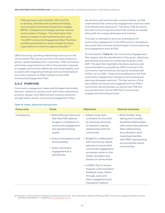PGE partnered with UniteOR, CEP and CCC to develop, facilitate and synthesize findings from two pilot workshops designed to engage BIPOC, immigrant and refugee and low-income communities in Oregon. The information that follows is based on and inspired by their work. The DSP Community Engagement Best Practices and Recommendations report created by these organizations is cited throughout this plan.68

CBOs have long-standing relationships and trust in the communities PGE serves and are in the best position to garner candid feedback from customers. PGE contracted with these organizations to inform the activities required to engage communities effectively and meaningfully, and to assist with integrating findings and recommendations from their outreach on PGE's behalf into the DSP Community Engagement Plan.

# **3.4.2 PURPOSE**

Community engagement helps build bridges that enable decision-makers to actively work with those impacted by projects, design more effective and inclusive solutions, and get better results. Community Engagement Plans

are iterative and intentionally not prescriptive, as PGE understands that community engagement practices need to be flexible and responsive. Therefore, PGE envisions this plan to be a living document that evolves as needed along with the energy landscape and industry.

This plan is intended to serve as a framework for community engagement in the DSP and be a standalone document that could also be leveraged in future planning and engagement work at PGE.

As illustrated in Table 14, the Community Engagement Plan begins with the identification of its goals, objectives and desired outcomes for achieving the goals of the DSP. The plan then highlights the best practices and recommendations provided by CBOs involved in the community-lead workshops during the development of Part 1 of our DSP. These are foundational to the PGE community engagement framework and subsequent planning strategies sections. The last section of this plan details the results and suggestions from PGE's community-led workshops, as well as how PGE will incorporate them into its DSP Part 2 community engagement planning process.

| <b>Focus area</b> | Goals                                                                                                                                                                                                                                                | <b>Objectives</b>                                                                                                                                                                                                                                                                                                                                                                                                                                                                      | <b>Desired outcomes</b>                                                                                                                                                                                                                        |
|-------------------|------------------------------------------------------------------------------------------------------------------------------------------------------------------------------------------------------------------------------------------------------|----------------------------------------------------------------------------------------------------------------------------------------------------------------------------------------------------------------------------------------------------------------------------------------------------------------------------------------------------------------------------------------------------------------------------------------------------------------------------------------|------------------------------------------------------------------------------------------------------------------------------------------------------------------------------------------------------------------------------------------------|
| Competency        | • Build skills and resources<br>that help PGE address<br>its gap in competency in<br>community engagement<br>and operationalizing<br>equity.<br>• Ensure transparency and<br>accountability.<br>• Value community<br>engagement as a<br>partnership. | • Adopt a long-term<br>orientation to this work<br>by ensuring resources<br>to maintain ongoing<br>relationships with the<br>community.<br>• Budget for collaboration<br>with community-based<br>partners to ensure that<br>community engagement<br>processes center on the<br>needs, strengths and<br>desires of communities.<br>• In NWA, Part 2, ensure<br>frequent communication,<br>feedback loops, follow-<br>through, early and<br>often engagement and<br>transparent reports. | • Build durable, long-<br>lasting and mutually<br>beneficial relationships<br>with community partners.<br>After relationships<br>are cultivated, work<br>toward partnership<br>with CBOs representing<br>environmental justice<br>communities. |

#### Table 14. Goals, objectives and outcomes

68. Research Justice Institute, Coalition of Communities of Color. 2021. Distribution Systems Planning (DSP) Community Engagement Best Practices and Recommendations — Available at: [portlandgeneral.com](https://portlandgeneral.com/about/who-we-are/resource-planning/distribution-system-planning)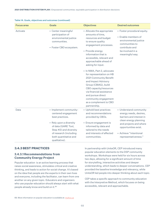| <b>Focus area</b> | <b>Goals</b>                                                                                                                                                                                                     | <b>Objectives</b>                                                                                                                                                                                                                                                                                                                                                                                                                                                                                                         | <b>Desired outcomes</b>                                                                                                                                                                                   |
|-------------------|------------------------------------------------------------------------------------------------------------------------------------------------------------------------------------------------------------------|---------------------------------------------------------------------------------------------------------------------------------------------------------------------------------------------------------------------------------------------------------------------------------------------------------------------------------------------------------------------------------------------------------------------------------------------------------------------------------------------------------------------------|-----------------------------------------------------------------------------------------------------------------------------------------------------------------------------------------------------------|
| Activate          | • Center meaningful<br>participation of<br>environmental justice<br>communities.<br>• Foster CBO ecosystem.                                                                                                      | • Allocate the appropriate<br>amounts of time,<br>resources and budget<br>to ensure quality<br>engagement processes.<br>• Provide energy<br>information that is<br>accessible, relevant and<br>approachable ahead of<br>asking for input.<br>• In NWA, Part 2, advocate<br>for representation on HB<br>2021 Community Benefit<br>and Impact Advisory<br>Group (CBIAG), build<br>CBO capacity/resources<br>via financial assistance<br>and pursue direct<br>community engagement<br>as a complement to CBO<br>partnership. | • Foster procedural equity.<br>• Enable members of<br>environmental justice<br>communities to<br>contribute and<br>be involved in a<br>meaningful way.                                                    |
| Data              | • Implement community-<br>centered engagement<br>best practices.<br>• Rely upon a diversity<br>of data (GARE Tool,<br>Step #2) and diversity<br>of research (including<br>both quantitative and<br>qualitative). | • Uphold best practices<br>and recommendations<br>provided by CBOs.<br>• Ensure engagement is<br>informed by data and<br>tailored to the needs<br>and interests of affected<br>communities.                                                                                                                                                                                                                                                                                                                               | • Understand community<br>energy needs, desires,<br>barriers and interest in<br>clean energy planning<br>and projects and where<br>opportunities exist.<br>• Achieve "intentional<br>representativeness." |

#### <span id="page-14-0"></span>Table 14. Goals, objectives and outcomes (continued)

# **3.4.3 BEST PRACTICES**

### **3.4.3.1 Recommendations from Community Energy Project**

Popular education is an active learning process that raises social awareness, stimulates critical and creative thinking, and leads to action for social change. It's based on the idea that people are the experts in their own lives and everyone, including the facilitator, can learn from one another on any given topic. Educators and organizers who use popular education should always start with what people already know and build on it.69

In partnership with UniteOR, CEP introduced many popular education elements to the DSP community workshops. Workshops were held for six hours across two days, allowing for a significant amount of time for storytelling, interactive activities and deeper understanding, which leads to deeper conversations. CEP provided the baseline knowledge and relevancy, while UniteOR led people into deeper thinking about each topic.

CEP takes a specific approach to community education with the Interpretive Method, which focuses on being accessible, relevant and approachable.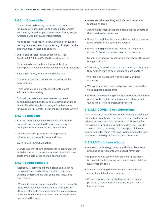### **3.4.3.1.1 Accessible**

- Translation into both lay terms and the preferred languages of participants and accessibility for deaf and hearing-impaired participants (captioning and/or American Sign Language interpretation)
- Multi-sensory approach to serve multiple languages, literacy levels and learning styles (e.g., images, tactile opportunities, written and spoken)
- Digital and physical space accessibility (see Section 3.4.3.1.4 on COVID-19 considerations)
- Scheduling based on times that work best for participants, not what's most convenient for presenters
- Easy registration, reminders and follow-up
- Content broken into themes and sub-themes for easy learning
- Third-grade reading level content for the most efficient understanding
- Cultural competence to ensure events are not scheduled during holidays and celebrations and food is not offered during fasts; recognition that some languages (e.g., Somali) are more spoken than written

#### **3.4.3.1.2 Relevant**

- Starting points at which participants understand concepts and expanding through examples and analogies, rather than starting from scratch
- Topics that are important to participants and information they want to know and value
- Ways to take immediate action
- Storytelling that allows participants to connect more with the content to better understand it and with one another to share wisdom, insight and advice

#### **3.4.3.1.3 Approachable**

- Respectful treatment of participants as intelligent people who are ready to learn about a new topic, with the understanding that some may know less than others
	- While it is recommended to aim for a third- to eighthgrade reading level, do not treat participants as if they are elementary school students, since people at all education levels understand new concepts when presented this way.
- Awareness that teaching adults is not the same as teaching children
- Acknowledgement that participants are the experts of their own lived experiences
- Space for participants to share their own tips, tricks and ideas with PGE and other participants
- Encouraging questions and inviting participants to answer (prizes in person are a great motivator)
- Dynamic, engaging presentations that show PGE values being in this space
- The ability for participants to leave whenever they want; they need to want to be present and participatory
- Well-trained presenters who can command the audience
- Well-prepared and practiced presenters to show the value on participants' time
- Flexible and welcoming environment that never shames people for being late, jumping ahead, asking simple questions or not understanding content

#### **3.4.3.1.4 COVID-19 considerations**

The pandemic altered the way CEP normally would have conducted workshops. There are elements to digital and physical workshops to be considered. CEP serves far more people through its workshops when they're able to meet in person, showing that the digital divide can be enormous for those who have low incomes or far less experience with digital formats, such as seniors.

#### **3.4.3.1.5 Digital workshops**

- Access to technology; laptops with data plans were provided to participants who did not have them
- Experience with technology; online formats mean technical troubleshooting and time spent explaining how to use the tools
- Session recording that was easy to do and made content available for later review
- Closed captions that, while flawed, can be easily provided to accommodate hearing impairment and learning styles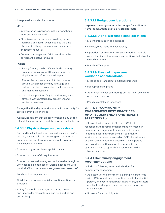• Interpretation divided into rooms

#### - Pros:

- Interpretation is provided, making workshops more accessible overall
- Simultaneous translation is possible, rather than back-and-forth, which doubles the time of content delivery, is chaotic and can reduce engagement overall
- Content, messages and Q&A can all be in the participant's native language
- Cons:
	- Pacing/timing can be difficult for the primary presenter, who may feel the need to rush or skip important information to keep up
	- The audience is separated into two or more groups, which silos them by language and makes it harder to take notes, track questions and manage messages
	- Workshops provided fully in one language are almost always preferred by presenters and audience members
- Recognition that digital workshops lack opportunity for tactile learning experiences
- Acknowledgement that digital workshops may be too difficult for some groups, and those groups will miss out

#### **3.4.3.1.6 Physical (in-person) workshops**

- Safe and familiar locations consider spaces they're used to, such as schools if working with parents or a community space if working with people in a multifamily housing building
- Spaces easily accessible via public transit
- Spaces that meet ADA requirements
- Spaces that are welcoming and inclusive (be thoughtful when scheduling at places of worship, locations with political affiliations or in or near government agencies)
- Food and beverages provided
- Child-friendly spaces or childcare options/stipends provided
- Ability for people to eat together during breaks and lunches for more informal and fun bonding and storytelling

#### **3.4.3.1.7 Budget considerations**

In-person meetings require the budget for additional items, compared to digital or virtual formats.

#### **3.4.3.1.8 Digital workshop considerations**

- Mailing information and stipends
- Devices/data plans for accessibility
- Upgraded Zoom accounts to accommodate multiple rooms for different languages and settings that allow for closed captioning
- Possible IT support

### **3.4.3.1.9 Physical (in-person) workshop considerations**

- Mileage and transportation/transit stipends
- Food, props and prizes
- Additional time for commuting, set-up, take-down and other location prep
- Possible rental fees for spaces

### **3.4.4 DSP COMMUNITY ENGAGEMENT BEST PRACTICES AND RECOMMENDATIONS REPORT (APPENDIX H)**

PGE's work with UniteOR, CEP and CCC led to reflections and recommendations that informed our community engagement framework and planning. In addition, learnings from the DSP community workshops that were convened on PGE's behalf as well as their recommendations based on their expertise and experience with vulnerable communities were synthesized into a report that is referenced in the following sections.

#### **3.4.4.1 Community engagement recommendations**

Include the following items in the budget for community engagement:

- At least four to six months of planning in partnership with CBOs for outreach, recruiting, event planning (if inperson) and coordination with interpreters, facilitators and back-end support, such as transportation, food and childcare
- Stipends for all participants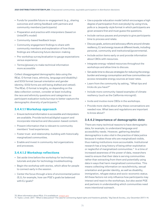- Funds for possible future re-engagement (e.g., sharing outcomes and vetting feedback with partners and community members/participants)
- Preparation and practice with interpreters (based on UniteOR's model)
- Community-based feedback loops
- Community engagement findings to share with community members and explanation of how those findings are influencing future decision-making
- Pre-workshop survey/evaluation to gauge expectations versus experience
- Terms/glossary to make technical information more accessible

Collect disaggregated demographic data using the REaL-D format (race, ethnicity, language and disability) and SOGI format (sexual orientation and gender identity; SOGI forms are still being drafted and vetted). The REaL-D format is lengthy, so depending on the data collection context, consider at least including the race and ethnicity questions and categories on participant evaluation tools/surveys to better capture the demographic diversity of participants.70

#### **3.4.4.1.1 Workshop approach**

- Ensure technical information is accessible and interpreters are available. Provide technical/digital support and incorporate interactive and discussion-based content.
- Present information that is relevant to community members' lived experiences.
- Foster trust- and relationship-building with historically marginalized communities.
- Enable and invest in community-led organizations and processes.

#### **3.4.4.1.2 Workshop reflections**

- Set aside time before the workshop for technology tutorials and plan for technology troubleshooting.
- Begin the workshop with stories, which allow for people to connect early in the session.
- Center the focus through a lens of environmental justice (EJ); for example, how can PGE's goals be balanced with EJ goals?
- Use a popular education model (which encourages a high degree of participation from everybody) by using trivia, polls or a Jeopardy-style format in which participants are given answers first and must guess the questions.
- Include various pauses and prompts to give participants time to process and relate.
- Discuss goals, actions and advocacy efforts around climate resiliency, EJ and energy issues at different levels, including personal, community and institutional/governmental.
- Include action items early on and provide information about CBOs with resources.
- Integrate energy-related resources throughout the workshops and allow time to discuss.
- Set aside time to discuss strategies for reducing the energy burden and energy consumption and how communities can access renewable energy sources at lower rates.
- Learn from the community by asking, "What tips and tricks do you have?"
- Include more community-based examples of climate resiliency (such as the California microgrid).
- Invite and involve more CBOs in the workshops.
- Provide more clarity about why these conversations are needed now. What laws and regulations are important to know about?

#### **3.4.4.2 Importance of demographic data**

There are many technical reasons to have demographic data; for example, to understand language and accessibility needs. However, gathering detailed demographics is also vital in the practice of data justice because it makes those who are marginalized visible, thus making institutions more accountable. Institutional research has a long history of being either exploitative or neglectful of marginalized communities.<sup>71</sup> In a time of increased awareness of the power of data, researchers need to ensure that their data is serving communities rather than extracting from them and potentially using data in ways that harm marginalized communities. This means collecting information on race/ethnicity, sexual orientation and gender identity, as well as disability, immigration, refugee status and socio-economic status. All these factors not only influence how participants may interact and react to the workshops, but also assist PGE and partners in understanding which communities need more intentional outreach.

70. More information about REaL-D is available at: **[oregon.gov](https://www.oregon.gov/oha/OEI/Pages/REALD.aspx)** 

<sup>71.</sup> Taylor, Linnet. 2017. "What is data justice? The case for connecting digital rights and freedoms globally," Big Data & Society, July-December 2017:1-14.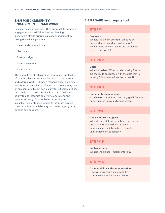# **3.4.5 PGE COMMUNITY ENGAGEMENT FRAMEWORK**

Based on lessons learned, PGE's approach to community engagement in the DSP and future planning and investment efforts prioritize quality engagement by taking the following actions:

- Listen and communicate.
- Use data.
- Ensure budget.
- Ensure relevancy.
- Ensure time.

Throughout the life of a project, continuous application of an equity lens must be applied both to the internal and external work. PGE has a responsibility to identify disproportionate adverse effects that a project may have on any community, but particularly for EJ communities. As a guide to this work, PGE will use the GARE racial equity tool to integrate equity into operations and decision-making. This tool offers critical questions in each of its six steps, intended to integrate explicit considerations of racial equity into projects, programs, policies and budgets.

### **3.4.5.1 GARE racial equity tool**

# **STEP#1**

#### Proposal:

What is the policy, program, practice or budget decision under consideration? What are the desired results and outcomes? (Focus on impact.)

# **STEP# 2**

#### Data:

What's the data? What data is missing? What are the limits associated with the data that is missing? What story does the data tell?

# **STEP# 3**

#### Community engagement:

How have communities been engaged? Are there opportunities to expand engagement?

# **STEP#4**

#### Analysis and strategies:

Who will benefit from or be burdened by the proposal? What are the strategies for advancing racial equity or mitigating unintended consequences?

### **STEP# 5**

Implementation: What is the plan for implementation?

### **STEP# 6**

Accountability and communication: How will you ensure accountability, communicate and evaluate results?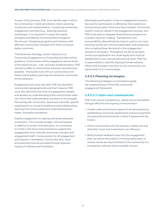As part of this process, PGE must identify ways in which the communities' needs and desires inform planning, investment and implementation. In planning community engagement activities (e.g., listening sessions, workshops), it is important to center the needs, strengths and desires of communities throughout the process. Designing programs and solutions with affected communities (instead of for them) produces better outcomes.

The Movement Strategy Center's Spectrum of Community Engagement to Ownership provides further guidance. Communities will be engaged at various levels of the spectrum pre-, mid- and post-implementation. PGE intends to defer to communities wherever and whenever possible. This builds trust with our communities and fosters participatory planning and advances communitydriven solutions.

Engagement will come only after PGE has identified communities geographically and their impacts. PGE must also determine the level of engagement needed and develop an understanding of the communities (data can inform this understanding, but alone is not enough). Partnering with community-based and culturally-specific organizations is crucial to building trusted relationships, learning from communities and understanding their needs, strengths and desires.

Quality engagement is ongoing and needs adequate investment. This includes budget, time and people. In addition to proper time allocation, it is necessary to invest in the resourcing of people to support the engagement work (internal community outreach and engagement staff). Compensation for all engagement participants is mandatory. Community time, input and expertise must be provided through stipends, supply of childcare and translation.

Meaningful participation is key to engagement success. Success for participants is defined by their experience and perceived value of the time they invested. Community wisdom must be valued in the engagement process, and PGE must seek to integrate these diverse perspectives in project decision-making. Transparency and accountability (describing how input is used or not used, ensuring results are communicated back, and explaining who is making these decisions) in the engagement process is necessary. Throughout the life of a project, continuous application of a racial equity lens must be applied both to the internal and external work. PGE has a responsibility to identify disproportionate adverse effects that a project may have on any community, but particularly for EJ communities.

# **3.4.5.2 Planning strategies**

The following strategies are intended to guide the implementation of the PGE community engagement framework.

### **3.4.5.2.1 Listen and communicate**

PGE must ensure transparency, clarity and accountability through effective and ongoing communication.

- Create a safe and inclusive space for all participants by establishing community agreements and ensuring there are protocols and processes in place if agreements are broken.
- Inform communities who the decision-makers are and what their input and involvement can influence.
- Build multiple feedback loops into the engagement plan, as well as the project's communication plan, to ensure results are reported back to the community in a transparent, relevant and accessible manner.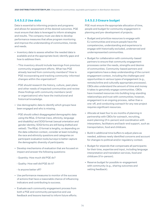# **3.4.5.2.2 Use data**

Data is essential to informing projects and programs and allows for assessment of the desired outcomes. PGE must ensure that data is leveraged to inform strategies and results. The company must use data to develop performance measures that allow program monitoring and improve the understanding of communities, trends and needs.

- Inventory data to assess whether the needed data is available and at the appropriate level; identify gaps and how to address them.
	- This inventory should include learnings from previous community engagement efforts. What has PGE already learned from community members? How is PGE incorporating and tracking community-informed changes within the organization?
	- PGE should research the history, culture, past plans and other needs of impacted communities and review these findings with community members (and/ or organizations) who have the institutional and historical knowledge.
- Use demographic data to identify which groups have been engaged and who is missing.
	- PGE should collect disaggregated demographic data using the REaL-D format (race, ethnicity, language and disability) and SOGI format (sexual orientation and gender identity; SOGI forms are still being drafted and vetted). The REaL-D format is lengthy, so depending on the data collection context, consider at least including the race and ethnicity questions and categories on participant evaluation tools/surveys to better capture the demographic diversity of participants.
- Develop mechanisms of evaluation that are focused on impact and answer the following questions:
	- Quantity: How much did PGE do?
	- Quality: How well did PGE do it?
	- Is anyone better off?
- Use performance measures to monitor of the success of actions that have a reasonable chance of influencing indicators and contributing to success.
- Evaluate each community engagement process from both a PGE and community perspective and use feedback and lessons learned to inform future efforts.

### **3.4.5.2.3 Ensure budget**

PGE must ensure the appropriate allocation of time, people and budget for community engagement in planning and pre-development of projects.

- Budget and prioritize resources to engage with EJ communities and ensure people have the competencies, understanding and experience to engage with historically excluded, underserved and underrepresented communities.
- Budget for collaboration with community-based partners to ensure that community engagement processes center the needs, strengths and desires of communities. Community-based partners and organizations have a deep understanding of the current engagement context, including the challenges and opportunities in various types of engagement (e.g., remote/online and culturally appropriate processes). CBOs also understand the amount of time and money it takes to genuinely engage communities. CBOs have invested resources into building long-standing relationships and trust with communities; however, engagement is an ongoing process, rather than a one-off, and conducting outreach for any new project requires significant resources.
- Allocate at least four to six months of planning in partnership with CBOs for outreach, recruiting, event planning (if in-person) and coordination with interpreters, facilitators and back-end support, such as transportation, food and childcare.
- Build in additional time buffers to adjust plans as needed, address newly identified concerns and account for changes to political and/or regulatory context.
- Budget for stipends that compensate all participants for their time, expertise and input, including language interpretation and translation services, food and childcare (if in-person).
- Reserve budget for possible re-engagement with community (e.g., sharing outcomes and vetting feedback).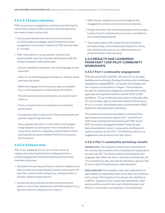# **3.4.5.2.4 Ensure relevancy**

PGE must ensure engagement activities are informed by community-centered best practices and are tailored to the needs of each community.

- Ensure participants have clarity around why they are being asked to engage, what the benefit to their engagement is and why it matters to PGE and the topic or concept.
- Offer information in an accessible, relevant and approachable way that provides participants with the context needed to fully participate.
	- Ensure translation needs are met and language is nontechnical.
	- Allow for multiple language translations, literacy levels and learning styles.
	- Make the engagement process as easy as possible (e.g., removing barriers and sending reminders).
	- Provide examples that participants can build on and relate to.
	- Focus on topics that are important and valued by participants.
	- Incorporate calls to take action where appropriate and provide supporting resources.
	- Use a popular education model (which encourages a high degree of participation from everybody) by using trivia, polls or a Jeopardy-style format in which participants are given answers first and must guess the questions.

#### **3.4.5.2.5 Ensure time**

PGE must challenge the all-too-familiar sense of urgency by ensuring that there is adequate time to enable engagements and activities that achieve their intended outcomes.

- Set aside time during activities to discuss related issues that are relevant to participants and provide context for how they connect with energy (e.g., energy burden or climate-related recent events).
- Incorporate storytelling and allow participants the space to share their experiences and offer wisdom (e.g., tips and tricks for staying cool or warm).
- Offer energy-related resources throughout the engagement activity and ensure time to discuss.
- Design activities with intentional pauses and prompts to allow time for participants to process and relate to the content being shared.
- Treat participants with respect by being flexible and welcoming; never shame participants for being late, entering discussions at a different place of understanding or leaving early.

#### **3.4.6 RESULTS AND LEARNINGS FROM PART 1 DSP PILOT COMMUNITY WORKSHOPS**

#### **3.4.6.1 Part 1 community engagement**

PGE partnered with UniteOR, CEP and CCC to develop, facilitate and synthesize findings from two pilot workshops designed to engage BIPOC, immigrant and refugee and low-income communities in Oregon. The workshops are part of community engagement activities that utility agencies are required to perform by the OPUC's DSP guidelines. These workshops were held on Saturday, May 22, and Sunday, May 23, and each lasted for three hours (9 a.m. to noon). Participants were provided with a \$250 stipend for attending both workshops.

The feedback and recommendations collected from participants and partner teams (CCC, UniteOR and CEP) were synthesized and shared with PGE via the DSP Community Engagement Best Practices and Recommendations report, prepared by the Research Justice Institute at the CCC. The following results and suggestions are excerpts from this report.

#### **3.4.6.2 Part 1 community workshop results**

Sample size: The outreach sample size (composed of the community members who completed the registration survey) was 46. The total number of participants who engaged with either the first or second workshop was 35. The workshop on day one had 32 attendees, day two had 21 and a total of 18 participants attended both.

Data collected: Demographic data was collected from participants at registration and on the day one workshop post-survey. Participation from people who identify as LGBTQ+, people of color, those with disabilities, older adults and those within the Arab, Middle Eastern and Muslim communities was lacking in the workshops.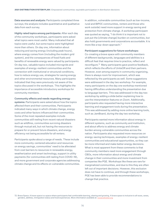Data sources and analysis: Participants completed three surveys; the analysis includes quantitative and qualitative data from each survey.

Highly rated topics among participants: After each day of the community workshops, participants were asked what topics were most useful. Many indicated that all topics were useful, but some topics were highlighted more than others. On day one, information about reducing and saving energy (including peak hours), where energy comes from (including the modern grid system), and the consequences of fossil fuels and benefits of renewable energy were valued by participants. On day two, valuable topics included microgrids and examples of energy-resilient communities and the connection with institutional or structural conditions, how to reduce energy use, strategies for saving energy and other environmental resources. Many participants indicated that they were previously not aware of the topics discussed in the workshops. This highlights the importance of accessible introductory workshops for community members.

Community effects and needs regarding energy systems: Participants were asked about how the topics affected them and their communities. Participants indicated many ways in which climate change, energy costs and other factors influenced their communities. Some of the most repeated examples include communities still reeling from recent natural disasters such as wildfires, communities surviving disasters through mutual aid, but not having the resources to prepare for or prevent future disasters, and energy efficiency not being accessible for all renters.

Participants spoke about a range of needs. These include more community-centered education and resources on energy savings, communities' need to be alleviated from cost barriers to resources in renewable energy, weatherization and smart technology, support in utility payments (for communities still reeling from COVID-19), and more government and corporate agencies addressing climate change and its effects on vulnerable communities. In addition, vulnerable communities (such as low-income, rural and BIPOC communities, renters and those who work outside) need more support in energy saving and protection from climate change. A workshop participant was quoted as saying, "I do think it is important not to just put the [climate change] burden on communities, but also hold governments and corporations accountable. It is more like a top-down approach."

#### Participant suggestions for future workshops:

Co-creating a brave space with community members of different backgrounds, languages and abilities is a difficult feat that requires time to practice, reflect and reconfigure.72 Many participants gave positive feedback, which reflects the efforts of UniteOR and their partners. However, even among experts in community organizing, there is always room for improvement, which was reflected by the participants as well. Some suggestions were addressed in the day two workshop. For example, many participants on the day one workshop mentioned having difficulties understanding the presentation due to language barriers. This was addressed in the day two workshop by adding a slide better explaining how to use the interpretation features on Zoom. Additionally, participants also requested having more interactive learning and engagement tools during the presentation. This was addressed by adding more online learning tools, such as JamBoard, during the day two workshop.

Participants wanted more information about energy in different systems, such as community and institution, and about efforts to address energy and climate burden among vulnerable communities across the nation. Participants also requested more resources on energy-saving techniques, examples of energy-resilient communities and educational opportunities, so they can be more informed and make better energy decisions. What is most apparent from these comments is that community members need more engagement through CBOs, more information about energy and climate change in their communities and more investment from companies like PGE. Workshops like these are rare for marginalized communities, and due to this they are often left out of important decisions. However, this exclusion does not have to continue, and through these workshops, PGE has been able to provide recommendations to change that practice.

72. Brave Space: A brave space is a space where participants feel comfortable learning, sharing and growing. A brave space is inclusive to all races, sexes, genders, abilities, immigration status and lived experiences. More information available at: [rooseveltufsd.org](https://www.rooseveltufsd.org/site/handlers/filedownload.ashx?moduleinstanceid=3566&dataid=4472&FileName=Creating_A_Brave_Space.pdf)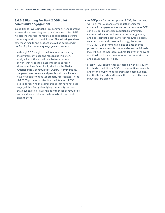# **3.4.6.3 Planning for Part 2 DSP pilot community engagement**

In addition to leveraging the PGE community engagement framework and ensuring best practices are applied, PGE will also incorporate the results and suggestions of Part 1 community workshop participants. The following outlines how those results and suggestions will be addressed in the Part 2 pilot community engagement process.

- Although PGE sought to be intentional in fostering the diversity of voices and recognizes this effort as significant, there is still a substantial amount of work that needs to be accomplished to reach all communities. Specifically, this includes Native American tribal communities, LGBTQ+ communities, people of color, seniors and people with disabilities who have not been engaged (or properly represented) in the UM 2005 process thus far. It is the intention of PGE to prioritize reaching the communities that have not been engaged thus far by identifying community partners that have existing relationships with these communities and seeking consultation on how to best reach and engage them.
- As PGE plans for the next phase of DSP, the company will think more expansively about the topics for community engagement as well as the resources PGE can provide. This includes additional communitycentered education and resources on energy savings and addressing the cost barriers in renewable energy, weatherization and smart technology, the impacts of COVID-19 on communities, and climate change protection for vulnerable communities and individuals. PGE will seek to incorporate a broader array of relevant and timely topics and resources into future workshops and engagement activities.
- Finally, PGE seeks further partnership with previously involved and additional CBOs to help continue to reach and meaningfully engage marginalized communities, identify their needs and include their perspectives and input in future planning.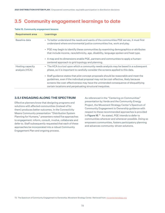# <span id="page-24-0"></span>**3.5 Community engagement learnings to date**

| <b>Requirement area</b>            | Learnings                                                                                                                                                                                                                                                                                                                            |
|------------------------------------|--------------------------------------------------------------------------------------------------------------------------------------------------------------------------------------------------------------------------------------------------------------------------------------------------------------------------------------|
| Baseline data                      | • To better understand the needs and wants of the communities PGE serves, it must first<br>understand where environmental justice communities live, work and play.                                                                                                                                                                   |
|                                    | • PGE may begin to identify these communities by examining demographics or attributes<br>that include income, race/ethnicity, age, disability, language spoken and heat type.                                                                                                                                                        |
|                                    | • A map and its dimensions enable PGE, partners and communities to apply a human-<br>centered approach to grid topology and planning.                                                                                                                                                                                                |
| Hosting capacity<br>analysis (HCA) | • The HCA is a tool upon which a community needs analysis may be based in a subsequent<br>phase, so it is important to carefully consider the screens applied to this data.                                                                                                                                                          |
|                                    | • Staff guidance states that pilot concept proposals should be reasonable and meet the<br>guidelines, even if the individual proposal may not be cost-effective, likely because<br>screens like cost-effectiveness may have the unintended consequence of disqualifying<br>certain locations and perpetuating structural inequities. |

#### Table 15. Community engagement lessons

#### **3.5.1 ENGAGING ALONG THE SPECTRUM**

Effective planners know that designing programs and solutions with affected communities (instead of for them) produces better outcomes. In the Connectivity Means Community presentation "Distribution System Planning for Humans," presenters noted five approaches to engagement: inform, consult, involve, collaborate and defer to. Staff subsequently requested that each of these approaches be incorporated into a robust Community Engagement Plan and ongoing process.

As referenced in the "Centering on Communities" presentation by Verde and the Community Energy Project, the Movement Strategy Center's Spectrum of Community Engagement to Ownership guidance with respect to these recommended approaches is provided in [Figure 16](#page-25-0).<sup>73</sup> As stated, PGE intends to defer to communities wherever and whenever possible. Doing so empowers communities, fosters participatory planning and advances community-driven solutions.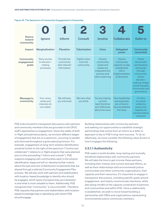| <b>Stance</b><br>toward<br>community | Ignore                                                 | Inform                                                   | <b>Consult</b>                        | <b>Involve</b>                                                                                      | <b>Collaborate</b>                                                                                          | Defer to                                                                                                                                                               |
|--------------------------------------|--------------------------------------------------------|----------------------------------------------------------|---------------------------------------|-----------------------------------------------------------------------------------------------------|-------------------------------------------------------------------------------------------------------------|------------------------------------------------------------------------------------------------------------------------------------------------------------------------|
| Impact                               | Marginalization                                        | <b>Placation</b>                                         | <b>Tokenization</b>                   | <b>Voice</b>                                                                                        | <b>Delegated</b><br>power                                                                                   | <b>Community</b><br>ownership                                                                                                                                          |
| Community<br>engagement<br>goals     | Deny access<br>to decision-<br>making<br>processes     | Provide the<br>community<br>with relevant<br>information | Gather input<br>from the<br>community | Ensure<br>community<br>needs and<br>assets are<br>integrated into<br>process and<br>inform planning | <b>Fnsure</b><br>community<br>capacity to play<br>a leadership<br>role in<br>implementation<br>of decisions | Foster<br>democratic<br>participation<br>and equity<br>through<br>community-<br>driven<br>decision-<br>making; bridge<br>divide between<br>community and<br>governance |
| <b>Message to</b><br>community       | Your voice,<br>needs and<br>interests do<br>not matter | We will keep<br>you informed                             | We care what<br>you think             | You are making<br>us think<br>(and therefore<br>act) differently<br>about the issue                 | Your leadership<br>and expertise<br>are critical to<br>how we address<br>the issue                          | It's time<br>to unlock<br>collective<br>power and<br>capacity for<br>transformative<br>solutions                                                                       |

#### <span id="page-25-0"></span>Figure 16. The Spectrum of Community Engagement to Ownership

PGE looks forward to transparent discussions with partners and community members that are grounded in the OPUC staff's approaches to engagement. Given the reality of both in-flight and planned projects, we envision different stages of engagement that are on a spectrum, occurring in parallel and informed throughout a given planning horizon. For example, engagement on long-term solution identification would be further to the right of the spectrum ("involve and collaborate") relative to in-flight projects that were planned prior to this proceeding ("inform and consult"). PGE supports engaging with communities early in the solution identification stage and will co-develop further criteria about the type and size of distribution investments that are shared through a tailored Community Engagement Plan process. We will also work with partners and stakeholders with location-based knowledge to identify who should be engaged, which types of projects they are interested in and what is most valuable to them. Additionally, PGE recognizes that "community" is not a monolith. Therefore, PGE requests that partners and stakeholders with locationbased knowledge help in identifying with whom PGE should engage.

Building relationships with community partners and seeking out opportunities to establish strategic partnerships that evolve from an inform to a defer to approach is key to PGE's long-term success. To do so effectively, we must consider the following value drivers in how it engages the following:

#### **3.5.1.1 Authenticity**

PGE seeks to build durable, long-lasting and mutually beneficial relationships with community partners. We will take the time to get to know these partners, including their mission and current and past efforts, as well as their relationships with environmental justice communities and other community organizations, their capacity and their resources. It's important to engage in transparent discussions, including specific goals around engagement, and clearly communicate intentions, while also being mindful of the capacity constraints of partners and communities and within PGE. Once a relationship is established, we seek to move toward building a partnership with CBOs and organizations representing environmental justice community members.